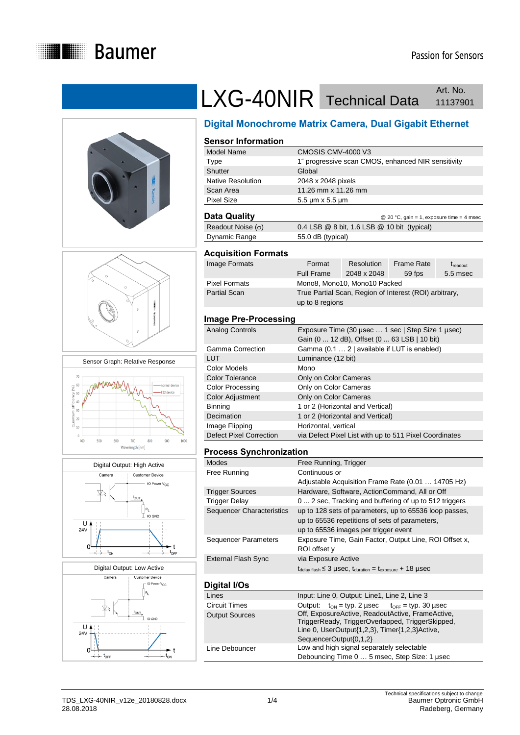











# LXG-40NIR Technical Data Art. No. Art. No.

## **Digital Monochrome Matrix Camera, Dual Gigabit Ethernet**

#### **Sensor Information**

| Model Name        | CMOSIS CMV-4000 V3                                 |
|-------------------|----------------------------------------------------|
| Type              | 1" progressive scan CMOS, enhanced NIR sensitivity |
| Shutter           | Global                                             |
| Native Resolution | 2048 x 2048 pixels                                 |
| Scan Area         | 11.26 mm x 11.26 mm                                |
| <b>Pixel Size</b> | $5.5 \mu m \times 5.5 \mu m$                       |
|                   |                                                    |

| Data Quality             | @ 20 °C, gain = 1, exposure time = 4 msec         |
|--------------------------|---------------------------------------------------|
| Readout Noise $(\sigma)$ | $0.4$ LSB $@$ 8 bit, 1.6 LSB $@$ 10 bit (typical) |
| Dynamic Range            | 55.0 dB (typical)                                 |

#### **Acquisition Formats**

| Image Formats        | Format                                                 | Resolution                   | <b>Frame Rate</b> | $t_{\text{readout}}$ |
|----------------------|--------------------------------------------------------|------------------------------|-------------------|----------------------|
|                      | <b>Full Frame</b>                                      | 2048 x 2048                  | 59 fps            | 5.5 msec             |
| <b>Pixel Formats</b> |                                                        | Mono8, Mono10, Mono10 Packed |                   |                      |
| <b>Partial Scan</b>  | True Partial Scan, Region of Interest (ROI) arbitrary, |                              |                   |                      |
|                      | up to 8 regions                                        |                              |                   |                      |

#### **Image Pre-Processing**

| <b>Analog Controls</b>         | Exposure Time (30 usec  1 sec   Step Size 1 usec)      |
|--------------------------------|--------------------------------------------------------|
|                                | Gain (0  12 dB), Offset (0  63 LSB   10 bit)           |
| <b>Gamma Correction</b>        | Gamma (0.1  2   available if LUT is enabled)           |
| <b>LUT</b>                     | Luminance (12 bit)                                     |
| Color Models                   | Mono                                                   |
| <b>Color Tolerance</b>         | Only on Color Cameras                                  |
| <b>Color Processing</b>        | Only on Color Cameras                                  |
| <b>Color Adjustment</b>        | Only on Color Cameras                                  |
| <b>Binning</b>                 | 1 or 2 (Horizontal and Vertical)                       |
| Decimation                     | 1 or 2 (Horizontal and Vertical)                       |
| Image Flipping                 | Horizontal, vertical                                   |
| <b>Defect Pixel Correction</b> | via Defect Pixel List with up to 511 Pixel Coordinates |

#### **Process Synchronization**

| <b>Modes</b>                     | Free Running, Trigger                                                                       |
|----------------------------------|---------------------------------------------------------------------------------------------|
| Free Running                     | Continuous or                                                                               |
|                                  | Adjustable Acquisition Frame Rate (0.01  14705 Hz)                                          |
| <b>Trigger Sources</b>           | Hardware, Software, ActionCommand, All or Off                                               |
| <b>Trigger Delay</b>             | 0  2 sec, Tracking and buffering of up to 512 triggers                                      |
| <b>Sequencer Characteristics</b> | up to 128 sets of parameters, up to 65536 loop passes,                                      |
|                                  | up to 65536 repetitions of sets of parameters,                                              |
|                                  | up to 65536 images per trigger event                                                        |
| <b>Sequencer Parameters</b>      | Exposure Time, Gain Factor, Output Line, ROI Offset x,                                      |
|                                  | ROI offset y                                                                                |
| <b>External Flash Sync</b>       | via Exposure Active                                                                         |
|                                  | $t_{\text{delay flash}} \leq 3$ µSeC, $t_{\text{duration}} = t_{\text{exposure}} + 18$ µSeC |
|                                  |                                                                                             |
| Digital I/Os                     |                                                                                             |

| Lines                 | Input: Line 0, Output: Line1, Line 2, Line 3                                                                                                                                     |  |  |
|-----------------------|----------------------------------------------------------------------------------------------------------------------------------------------------------------------------------|--|--|
| Circuit Times         | Output: $t_{ON}$ = typ. 2 usec $t_{OFF}$ = typ. 30 usec                                                                                                                          |  |  |
| <b>Output Sources</b> | Off, ExposureActive, ReadoutActive, FrameActive,<br>TriggerReady, TriggerOverlapped, TriggerSkipped,<br>Line 0, UserOutput{1,2,3}, Timer{1,2,3}Active,<br>SequencerOutput{0,1,2} |  |  |
| Line Debouncer        | Low and high signal separately selectable<br>Debouncing Time 0  5 msec, Step Size: 1 usec                                                                                        |  |  |
|                       |                                                                                                                                                                                  |  |  |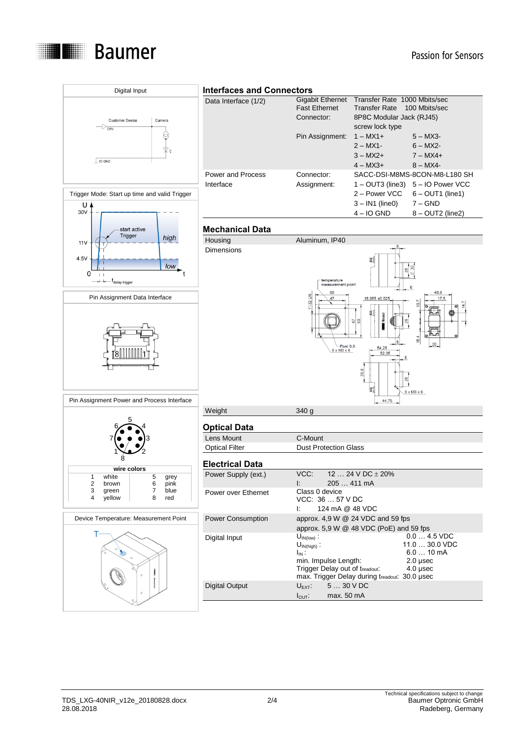

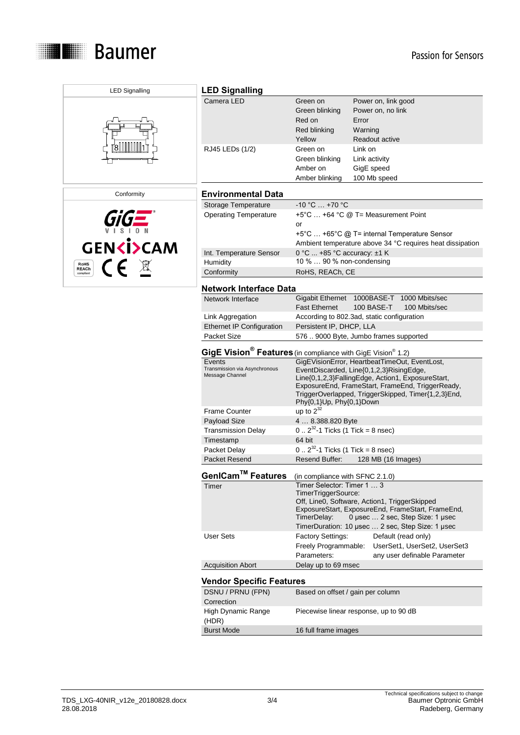

| <b>LED Signalling</b>     | <b>LED Signalling</b>                                                                                                                          |                                                                  |                                                                                                                                                                                                          |  |
|---------------------------|------------------------------------------------------------------------------------------------------------------------------------------------|------------------------------------------------------------------|----------------------------------------------------------------------------------------------------------------------------------------------------------------------------------------------------------|--|
|                           | Camera LED                                                                                                                                     | Green on<br>Green blinking<br>Red on<br>Red blinking<br>Yellow   | Power on, link good<br>Power on, no link<br>Error<br>Warning<br><b>Readout active</b>                                                                                                                    |  |
|                           | RJ45 LEDs (1/2)                                                                                                                                | Green on<br>Green blinking<br>Amber on<br>Amber blinking         | Link on<br>Link activity<br>GigE speed<br>100 Mb speed                                                                                                                                                   |  |
| Conformity                | <b>Environmental Data</b>                                                                                                                      |                                                                  |                                                                                                                                                                                                          |  |
|                           | Storage Temperature                                                                                                                            | $-10 °C  +70 °C$                                                 |                                                                                                                                                                                                          |  |
| <b>GENKI&gt;CAM</b>       | <b>Operating Temperature</b>                                                                                                                   | or                                                               | $+5^{\circ}$ C  +64 °C @ T= Measurement Point<br>+5°C  +65°C @ T= internal Temperature Sensor<br>Ambient temperature above 34 °C requires heat dissipation                                               |  |
|                           | Int. Temperature Sensor                                                                                                                        | 0 °C  +85 °C accuracy: ±1 K                                      |                                                                                                                                                                                                          |  |
| C E<br><b>RoHS</b>        | Humidity                                                                                                                                       | 10 %  90 % non-condensing                                        |                                                                                                                                                                                                          |  |
| <b>REACh</b><br>compliant | Conformity                                                                                                                                     | RoHS, REACh, CE                                                  |                                                                                                                                                                                                          |  |
|                           | <b>Network Interface Data</b>                                                                                                                  |                                                                  |                                                                                                                                                                                                          |  |
|                           | Network Interface                                                                                                                              | <b>Fast Ethernet</b>                                             | Gigabit Ethernet 1000BASE-T 1000 Mbits/sec<br>100 BASE-T<br>100 Mbits/sec                                                                                                                                |  |
|                           | Link Aggregation                                                                                                                               |                                                                  | According to 802.3ad, static configuration                                                                                                                                                               |  |
|                           | <b>Ethernet IP Configuration</b>                                                                                                               | Persistent IP, DHCP, LLA                                         |                                                                                                                                                                                                          |  |
|                           | Packet Size                                                                                                                                    |                                                                  | 576  9000 Byte, Jumbo frames supported                                                                                                                                                                   |  |
|                           | GigE Vision <sup>®</sup> Features (in compliance with GigE Vision <sup>®</sup> 1.2)<br>GigEVisionError, HeartbeatTimeOut, EventLost,<br>Events |                                                                  |                                                                                                                                                                                                          |  |
|                           | Transmission via Asynchronous<br>Message Channel                                                                                               | Phy{0,1}Up, Phy{0,1}Down                                         | EventDiscarded, Line{0,1,2,3}RisingEdge,<br>Line{0,1,2,3}FallingEdge, Action1, ExposureStart,<br>ExposureEnd, FrameStart, FrameEnd, TriggerReady,<br>TriggerOverlapped, TriggerSkipped, Timer{1,2,3}End, |  |
|                           | <b>Frame Counter</b>                                                                                                                           | up to $2^{32}$                                                   |                                                                                                                                                                                                          |  |
|                           | Payload Size                                                                                                                                   | 4  8.388.820 Byte                                                |                                                                                                                                                                                                          |  |
|                           | <b>Transmission Delay</b>                                                                                                                      | $0.2^{32}$ -1 Ticks (1 Tick = 8 nsec)                            |                                                                                                                                                                                                          |  |
|                           | Timestamp                                                                                                                                      | 64 bit                                                           |                                                                                                                                                                                                          |  |
|                           | Packet Delay                                                                                                                                   | $0.2^{32}$ -1 Ticks (1 Tick = 8 nsec)                            |                                                                                                                                                                                                          |  |
|                           | Packet Resend                                                                                                                                  | Resend Buffer:<br>128 MB (16 Images)                             |                                                                                                                                                                                                          |  |
|                           | GenICam™ Features                                                                                                                              | (in compliance with SFNC 2.1.0)                                  |                                                                                                                                                                                                          |  |
|                           | Timer                                                                                                                                          | Timer Selector: Timer 1  3<br>TimerTriggerSource:<br>TimerDelay: | Off, Line0, Software, Action1, TriggerSkipped<br>ExposureStart, ExposureEnd, FrameStart, FrameEnd,<br>0 µsec  2 sec, Step Size: 1 µsec<br>TimerDuration: 10 µsec  2 sec, Step Size: 1 µsec               |  |
|                           | <b>User Sets</b>                                                                                                                               | Factory Settings:<br>Freely Programmable:<br>Parameters:         | Default (read only)<br>UserSet1, UserSet2, UserSet3<br>any user definable Parameter                                                                                                                      |  |
|                           | <b>Acquisition Abort</b>                                                                                                                       | Delay up to 69 msec                                              |                                                                                                                                                                                                          |  |
|                           | <b>Vendor Specific Features</b>                                                                                                                |                                                                  |                                                                                                                                                                                                          |  |
|                           | DSNU / PRNU (FPN)<br>Correction                                                                                                                | Based on offset / gain per column                                |                                                                                                                                                                                                          |  |
|                           | High Dynamic Range<br>(HDR)                                                                                                                    |                                                                  | Piecewise linear response, up to 90 dB                                                                                                                                                                   |  |
|                           | <b>Burst Mode</b>                                                                                                                              | 16 full frame images                                             |                                                                                                                                                                                                          |  |